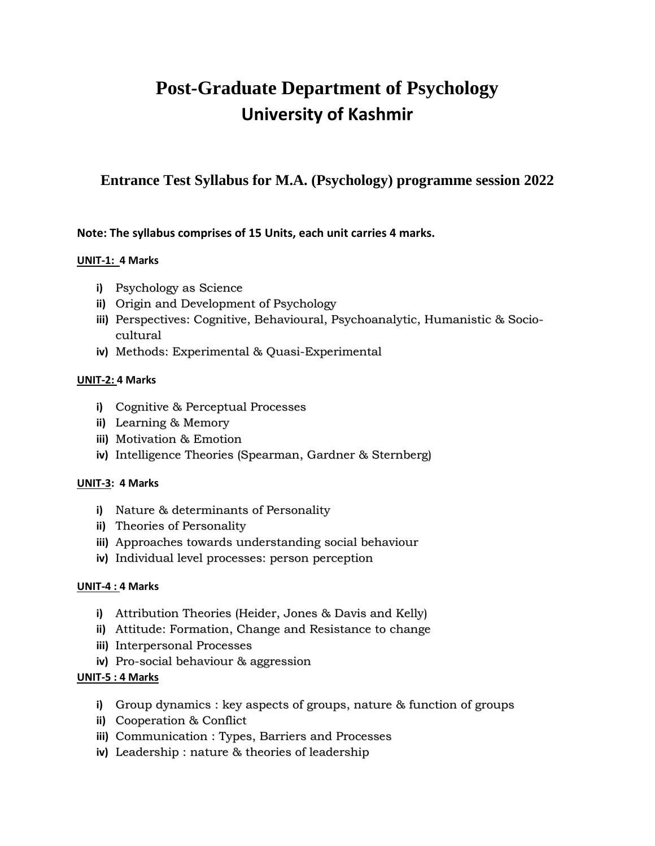# **Post-Graduate Department of Psychology University of Kashmir**

# **Entrance Test Syllabus for M.A. (Psychology) programme session 2022**

# **Note: The syllabus comprises of 15 Units, each unit carries 4 marks.**

# **UNIT-1: 4 Marks**

- **i)** Psychology as Science
- **ii)** Origin and Development of Psychology
- **iii)** Perspectives: Cognitive, Behavioural, Psychoanalytic, Humanistic & Sociocultural
- **iv)** Methods: Experimental & Quasi-Experimental

#### **UNIT-2: 4 Marks**

- **i)** Cognitive & Perceptual Processes
- **ii)** Learning & Memory
- **iii)** Motivation & Emotion
- **iv)** Intelligence Theories (Spearman, Gardner & Sternberg)

# **UNIT-3: 4 Marks**

- **i)** Nature & determinants of Personality
- **ii)** Theories of Personality
- **iii)** Approaches towards understanding social behaviour
- **iv)** Individual level processes: person perception

# **UNIT-4 : 4 Marks**

- **i)** Attribution Theories (Heider, Jones & Davis and Kelly)
- **ii)** Attitude: Formation, Change and Resistance to change
- **iii)** Interpersonal Processes
- **iv)** Pro-social behaviour & aggression

# **UNIT-5 : 4 Marks**

- **i)** Group dynamics : key aspects of groups, nature & function of groups
- **ii)** Cooperation & Conflict
- **iii)** Communication : Types, Barriers and Processes
- **iv)** Leadership : nature & theories of leadership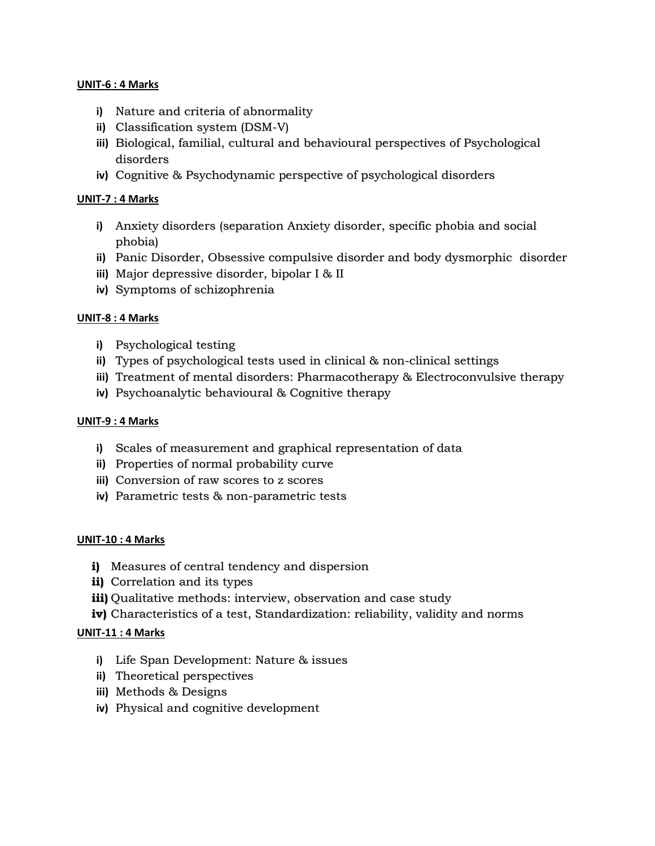#### **UNIT-6 : 4 Marks**

- **i)** Nature and criteria of abnormality
- **ii)** Classification system (DSM-V)
- **iii)** Biological, familial, cultural and behavioural perspectives of Psychological disorders
- **iv)** Cognitive & Psychodynamic perspective of psychological disorders

#### **UNIT-7 : 4 Marks**

- **i)** Anxiety disorders (separation Anxiety disorder, specific phobia and social phobia)
- **ii)** Panic Disorder, Obsessive compulsive disorder and body dysmorphic disorder
- **iii)** Major depressive disorder, bipolar I & II
- **iv)** Symptoms of schizophrenia

#### **UNIT-8 : 4 Marks**

- **i)** Psychological testing
- **ii)** Types of psychological tests used in clinical & non-clinical settings
- **iii)** Treatment of mental disorders: Pharmacotherapy & Electroconvulsive therapy
- **iv)** Psychoanalytic behavioural & Cognitive therapy

#### **UNIT-9 : 4 Marks**

- **i)** Scales of measurement and graphical representation of data
- **ii)** Properties of normal probability curve
- **iii)** Conversion of raw scores to z scores
- **iv)** Parametric tests & non-parametric tests

#### **UNIT-10 : 4 Marks**

- **i)** Measures of central tendency and dispersion
- **ii)** Correlation and its types
- **iii)** Qualitative methods: interview, observation and case study
- **iv)** Characteristics of a test, Standardization: reliability, validity and norms

# **UNIT-11 : 4 Marks**

- **i)** Life Span Development: Nature & issues
- **ii)** Theoretical perspectives
- **iii)** Methods & Designs
- **iv)** Physical and cognitive development